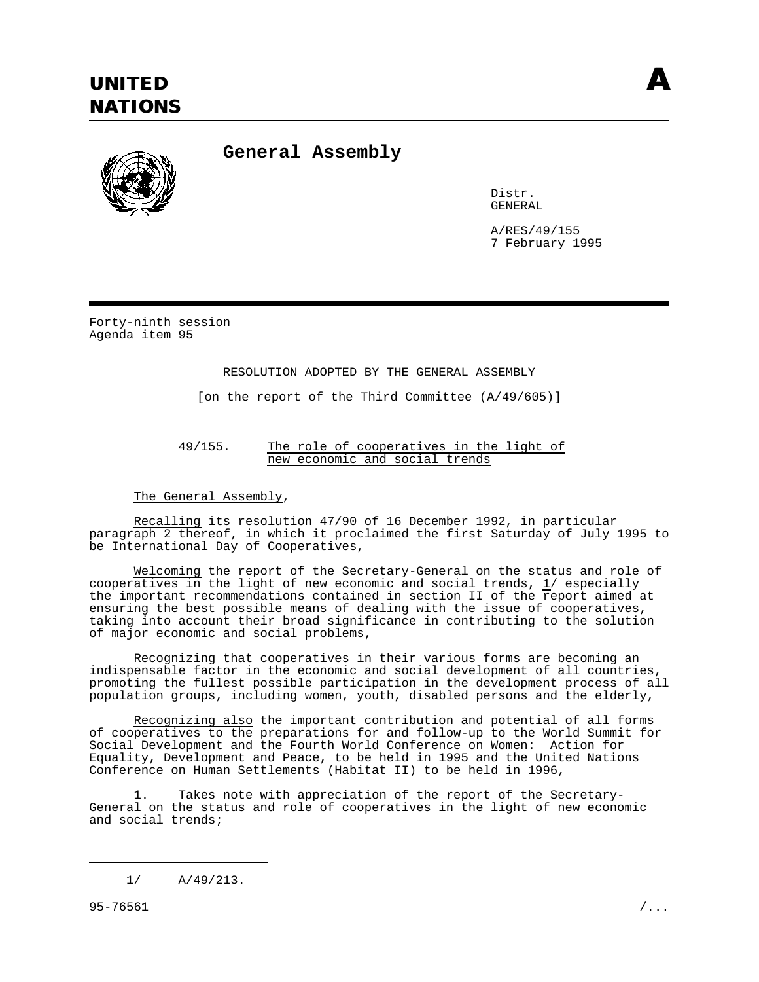

**General Assembly**

Distr. GENERAL

A/RES/49/155 7 February 1995

Forty-ninth session Agenda item 95

## RESOLUTION ADOPTED BY THE GENERAL ASSEMBLY

[on the report of the Third Committee (A/49/605)]

## 49/155. The role of cooperatives in the light of new economic and social trends

The General Assembly,

Recalling its resolution 47/90 of 16 December 1992, in particular paragraph 2 thereof, in which it proclaimed the first Saturday of July 1995 to be International Day of Cooperatives,

Welcoming the report of the Secretary-General on the status and role of cooperatives in the light of new economic and social trends,  $1/$  especially the important recommendations contained in section II of the report aimed at ensuring the best possible means of dealing with the issue of cooperatives, taking into account their broad significance in contributing to the solution of major economic and social problems,

Recognizing that cooperatives in their various forms are becoming an indispensable factor in the economic and social development of all countries, promoting the fullest possible participation in the development process of all population groups, including women, youth, disabled persons and the elderly,

Recognizing also the important contribution and potential of all forms of cooperatives to the preparations for and follow-up to the World Summit for Social Development and the Fourth World Conference on Women: Action for Equality, Development and Peace, to be held in 1995 and the United Nations Conference on Human Settlements (Habitat II) to be held in 1996,

Takes note with appreciation of the report of the Secretary-General on the status and role of cooperatives in the light of new economic and social trends;

<sup>1/</sup> A/49/213.